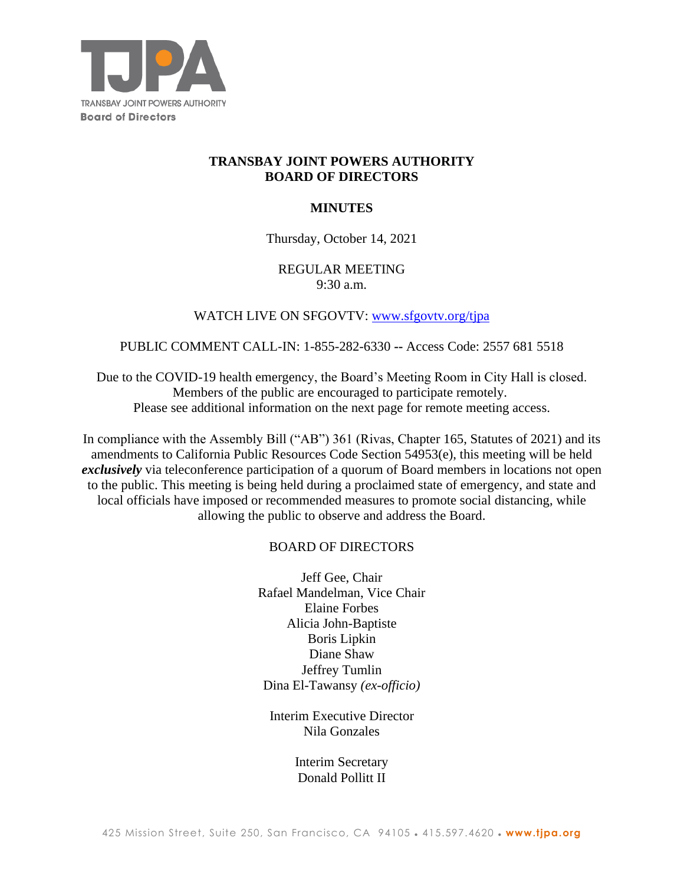

# **TRANSBAY JOINT POWERS AUTHORITY BOARD OF DIRECTORS**

# **MINUTES**

# Thursday, October 14, 2021

# REGULAR MEETING 9:30 a.m.

# WATCH LIVE ON SFGOVTV: www.sfgovtv.org/tipa

#### PUBLIC COMMENT CALL-IN: 1-855-282-6330 **--** Access Code: 2557 681 5518

Due to the COVID-19 health emergency, the Board's Meeting Room in City Hall is closed. Members of the public are encouraged to participate remotely. Please see additional information on the next page for remote meeting access.

In compliance with the Assembly Bill ("AB") 361 (Rivas, Chapter 165, Statutes of 2021) and its amendments to California Public Resources Code Section 54953(e), this meeting will be held *exclusively* via teleconference participation of a quorum of Board members in locations not open to the public. This meeting is being held during a proclaimed state of emergency, and state and local officials have imposed or recommended measures to promote social distancing, while allowing the public to observe and address the Board.

# BOARD OF DIRECTORS

Jeff Gee, Chair Rafael Mandelman, Vice Chair Elaine Forbes Alicia John-Baptiste Boris Lipkin Diane Shaw Jeffrey Tumlin Dina El-Tawansy *(ex-officio)*

Interim Executive Director Nila Gonzales

> Interim Secretary Donald Pollitt II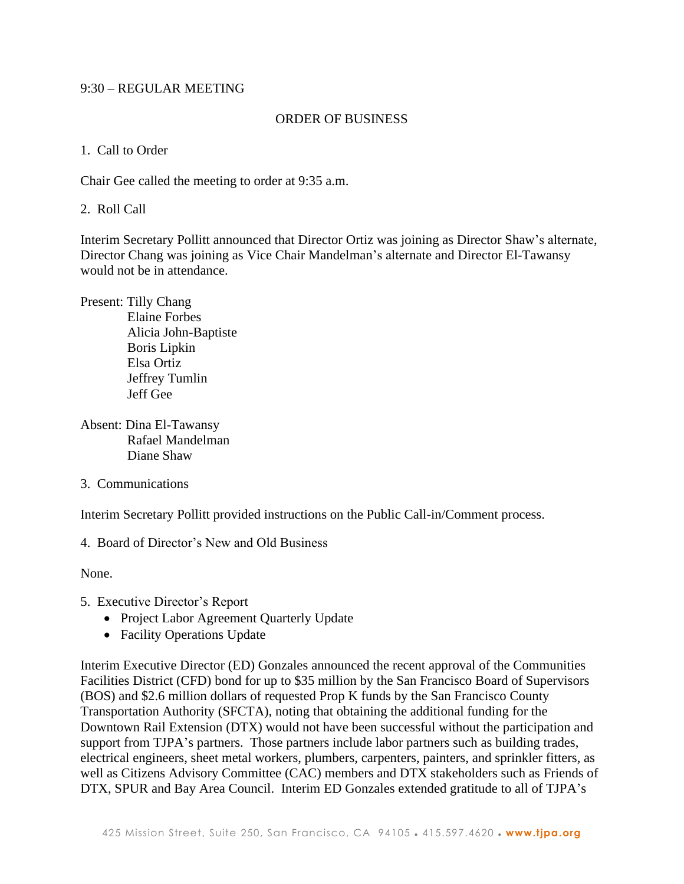# 9:30 – REGULAR MEETING

#### ORDER OF BUSINESS

1. Call to Order

Chair Gee called the meeting to order at 9:35 a.m.

2. Roll Call

Interim Secretary Pollitt announced that Director Ortiz was joining as Director Shaw's alternate, Director Chang was joining as Vice Chair Mandelman's alternate and Director El-Tawansy would not be in attendance.

- Present: Tilly Chang Elaine Forbes Alicia John-Baptiste Boris Lipkin Elsa Ortiz Jeffrey Tumlin Jeff Gee
- Absent: Dina El-Tawansy Rafael Mandelman Diane Shaw
- 3. Communications

Interim Secretary Pollitt provided instructions on the Public Call-in/Comment process.

4. Board of Director's New and Old Business

None.

- 5. Executive Director's Report
	- Project Labor Agreement Quarterly Update
	- Facility Operations Update

Interim Executive Director (ED) Gonzales announced the recent approval of the Communities Facilities District (CFD) bond for up to \$35 million by the San Francisco Board of Supervisors (BOS) and \$2.6 million dollars of requested Prop K funds by the San Francisco County Transportation Authority (SFCTA), noting that obtaining the additional funding for the Downtown Rail Extension (DTX) would not have been successful without the participation and support from TJPA's partners. Those partners include labor partners such as building trades, electrical engineers, sheet metal workers, plumbers, carpenters, painters, and sprinkler fitters, as well as Citizens Advisory Committee (CAC) members and DTX stakeholders such as Friends of DTX, SPUR and Bay Area Council. Interim ED Gonzales extended gratitude to all of TJPA's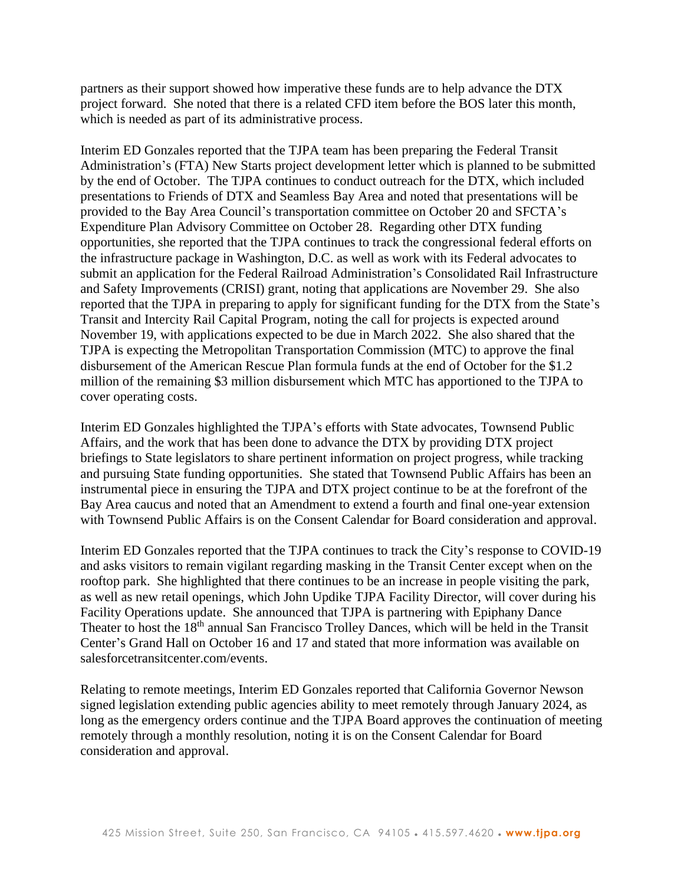partners as their support showed how imperative these funds are to help advance the DTX project forward. She noted that there is a related CFD item before the BOS later this month, which is needed as part of its administrative process.

Interim ED Gonzales reported that the TJPA team has been preparing the Federal Transit Administration's (FTA) New Starts project development letter which is planned to be submitted by the end of October. The TJPA continues to conduct outreach for the DTX, which included presentations to Friends of DTX and Seamless Bay Area and noted that presentations will be provided to the Bay Area Council's transportation committee on October 20 and SFCTA's Expenditure Plan Advisory Committee on October 28. Regarding other DTX funding opportunities, she reported that the TJPA continues to track the congressional federal efforts on the infrastructure package in Washington, D.C. as well as work with its Federal advocates to submit an application for the Federal Railroad Administration's Consolidated Rail Infrastructure and Safety Improvements (CRISI) grant, noting that applications are November 29. She also reported that the TJPA in preparing to apply for significant funding for the DTX from the State's Transit and Intercity Rail Capital Program, noting the call for projects is expected around November 19, with applications expected to be due in March 2022. She also shared that the TJPA is expecting the Metropolitan Transportation Commission (MTC) to approve the final disbursement of the American Rescue Plan formula funds at the end of October for the \$1.2 million of the remaining \$3 million disbursement which MTC has apportioned to the TJPA to cover operating costs.

Interim ED Gonzales highlighted the TJPA's efforts with State advocates, Townsend Public Affairs, and the work that has been done to advance the DTX by providing DTX project briefings to State legislators to share pertinent information on project progress, while tracking and pursuing State funding opportunities. She stated that Townsend Public Affairs has been an instrumental piece in ensuring the TJPA and DTX project continue to be at the forefront of the Bay Area caucus and noted that an Amendment to extend a fourth and final one-year extension with Townsend Public Affairs is on the Consent Calendar for Board consideration and approval.

Interim ED Gonzales reported that the TJPA continues to track the City's response to COVID-19 and asks visitors to remain vigilant regarding masking in the Transit Center except when on the rooftop park. She highlighted that there continues to be an increase in people visiting the park, as well as new retail openings, which John Updike TJPA Facility Director, will cover during his Facility Operations update. She announced that TJPA is partnering with Epiphany Dance Theater to host the 18<sup>th</sup> annual San Francisco Trolley Dances, which will be held in the Transit Center's Grand Hall on October 16 and 17 and stated that more information was available on salesforcetransitcenter.com/events.

Relating to remote meetings, Interim ED Gonzales reported that California Governor Newson signed legislation extending public agencies ability to meet remotely through January 2024, as long as the emergency orders continue and the TJPA Board approves the continuation of meeting remotely through a monthly resolution, noting it is on the Consent Calendar for Board consideration and approval.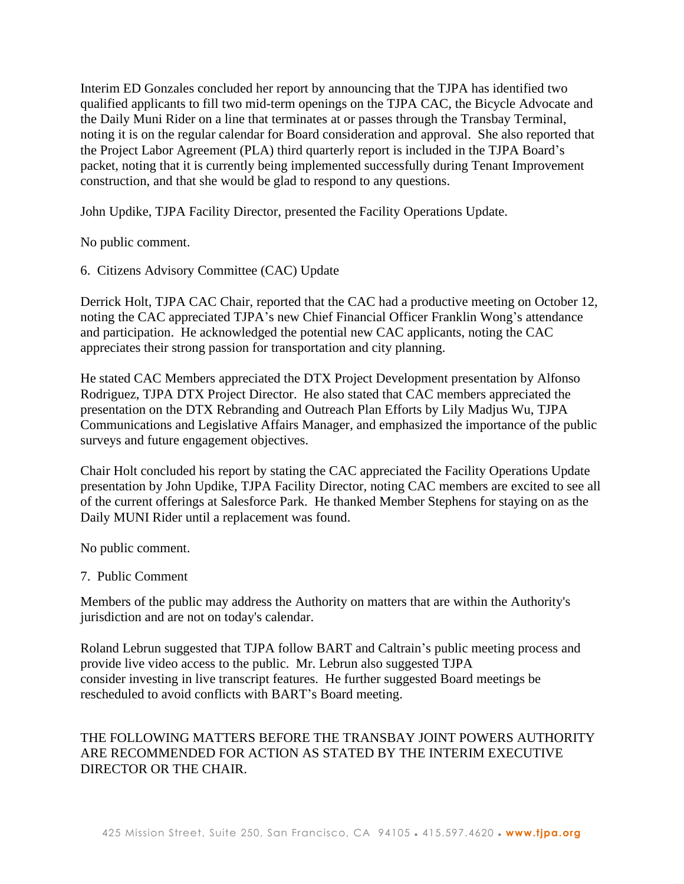Interim ED Gonzales concluded her report by announcing that the TJPA has identified two qualified applicants to fill two mid-term openings on the TJPA CAC, the Bicycle Advocate and the Daily Muni Rider on a line that terminates at or passes through the Transbay Terminal, noting it is on the regular calendar for Board consideration and approval. She also reported that the Project Labor Agreement (PLA) third quarterly report is included in the TJPA Board's packet, noting that it is currently being implemented successfully during Tenant Improvement construction, and that she would be glad to respond to any questions.

John Updike, TJPA Facility Director, presented the Facility Operations Update.

No public comment.

6. Citizens Advisory Committee (CAC) Update

Derrick Holt, TJPA CAC Chair, reported that the CAC had a productive meeting on October 12, noting the CAC appreciated TJPA's new Chief Financial Officer Franklin Wong's attendance and participation. He acknowledged the potential new CAC applicants, noting the CAC appreciates their strong passion for transportation and city planning.

He stated CAC Members appreciated the DTX Project Development presentation by Alfonso Rodriguez, TJPA DTX Project Director. He also stated that CAC members appreciated the presentation on the DTX Rebranding and Outreach Plan Efforts by Lily Madjus Wu, TJPA Communications and Legislative Affairs Manager, and emphasized the importance of the public surveys and future engagement objectives.

Chair Holt concluded his report by stating the CAC appreciated the Facility Operations Update presentation by John Updike, TJPA Facility Director, noting CAC members are excited to see all of the current offerings at Salesforce Park. He thanked Member Stephens for staying on as the Daily MUNI Rider until a replacement was found.

No public comment.

#### 7. Public Comment

Members of the public may address the Authority on matters that are within the Authority's jurisdiction and are not on today's calendar.

Roland Lebrun suggested that TJPA follow BART and Caltrain's public meeting process and provide live video access to the public. Mr. Lebrun also suggested TJPA consider investing in live transcript features. He further suggested Board meetings be rescheduled to avoid conflicts with BART's Board meeting.

# THE FOLLOWING MATTERS BEFORE THE TRANSBAY JOINT POWERS AUTHORITY ARE RECOMMENDED FOR ACTION AS STATED BY THE INTERIM EXECUTIVE DIRECTOR OR THE CHAIR.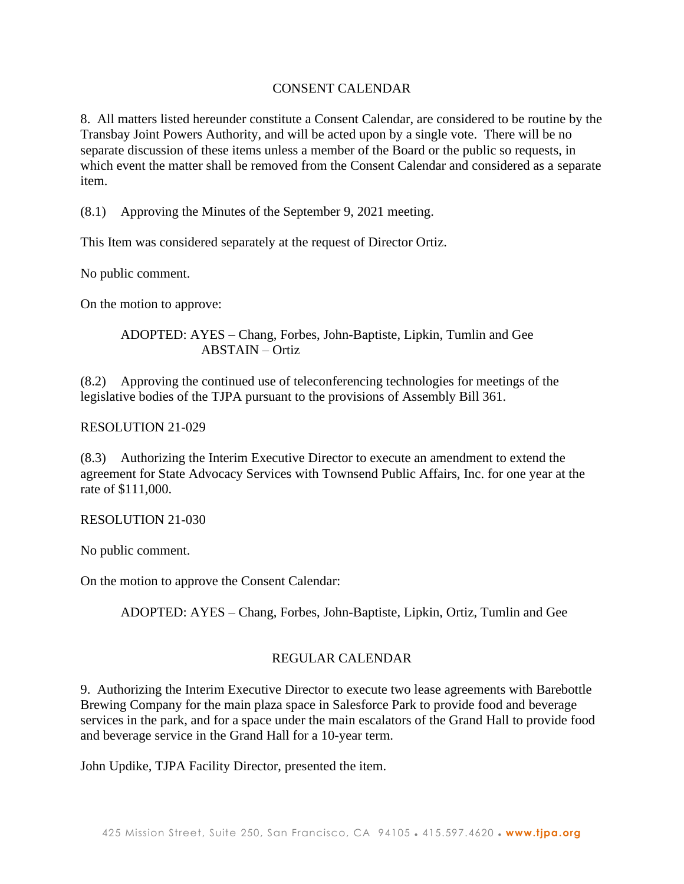# CONSENT CALENDAR

8. All matters listed hereunder constitute a Consent Calendar, are considered to be routine by the Transbay Joint Powers Authority, and will be acted upon by a single vote. There will be no separate discussion of these items unless a member of the Board or the public so requests, in which event the matter shall be removed from the Consent Calendar and considered as a separate item.

(8.1) Approving the Minutes of the September 9, 2021 meeting.

This Item was considered separately at the request of Director Ortiz.

No public comment.

On the motion to approve:

ADOPTED: AYES – Chang, Forbes, John-Baptiste, Lipkin, Tumlin and Gee ABSTAIN – Ortiz

(8.2) Approving the continued use of teleconferencing technologies for meetings of the legislative bodies of the TJPA pursuant to the provisions of Assembly Bill 361.

# RESOLUTION 21-029

(8.3) Authorizing the Interim Executive Director to execute an amendment to extend the agreement for State Advocacy Services with Townsend Public Affairs, Inc. for one year at the rate of \$111,000.

# RESOLUTION 21-030

No public comment.

On the motion to approve the Consent Calendar:

ADOPTED: AYES – Chang, Forbes, John-Baptiste, Lipkin, Ortiz, Tumlin and Gee

# REGULAR CALENDAR

9. Authorizing the Interim Executive Director to execute two lease agreements with Barebottle Brewing Company for the main plaza space in Salesforce Park to provide food and beverage services in the park, and for a space under the main escalators of the Grand Hall to provide food and beverage service in the Grand Hall for a 10-year term.

John Updike, TJPA Facility Director, presented the item.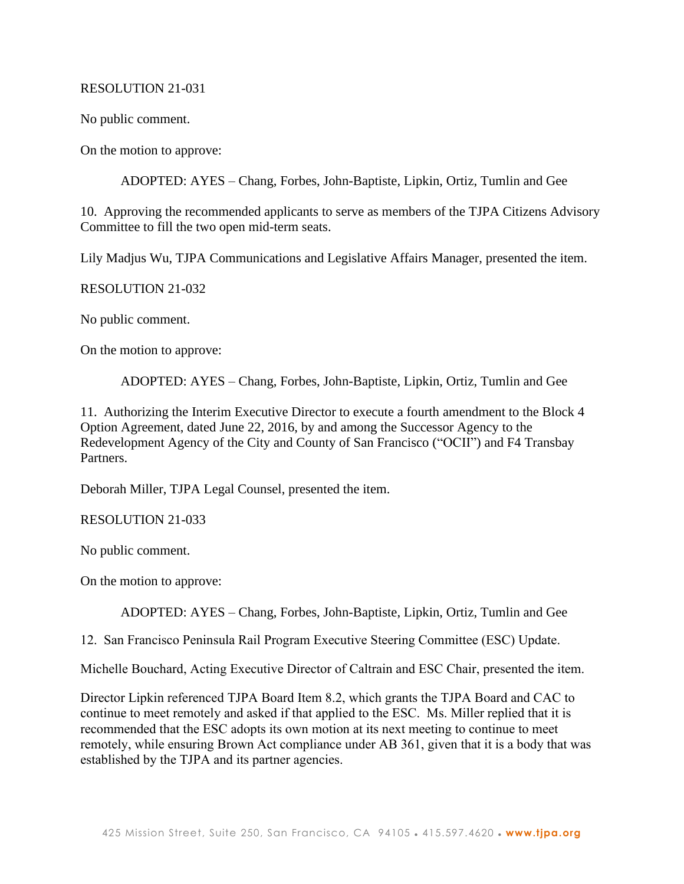# RESOLUTION 21-031

No public comment.

On the motion to approve:

ADOPTED: AYES – Chang, Forbes, John-Baptiste, Lipkin, Ortiz, Tumlin and Gee

10. Approving the recommended applicants to serve as members of the TJPA Citizens Advisory Committee to fill the two open mid-term seats.

Lily Madjus Wu, TJPA Communications and Legislative Affairs Manager, presented the item.

RESOLUTION 21-032

No public comment.

On the motion to approve:

ADOPTED: AYES – Chang, Forbes, John-Baptiste, Lipkin, Ortiz, Tumlin and Gee

11. Authorizing the Interim Executive Director to execute a fourth amendment to the Block 4 Option Agreement, dated June 22, 2016, by and among the Successor Agency to the Redevelopment Agency of the City and County of San Francisco ("OCII") and F4 Transbay Partners.

Deborah Miller, TJPA Legal Counsel, presented the item.

RESOLUTION 21-033

No public comment.

On the motion to approve:

ADOPTED: AYES – Chang, Forbes, John-Baptiste, Lipkin, Ortiz, Tumlin and Gee

12. San Francisco Peninsula Rail Program Executive Steering Committee (ESC) Update.

Michelle Bouchard, Acting Executive Director of Caltrain and ESC Chair, presented the item.

Director Lipkin referenced TJPA Board Item 8.2, which grants the TJPA Board and CAC to continue to meet remotely and asked if that applied to the ESC. Ms. Miller replied that it is recommended that the ESC adopts its own motion at its next meeting to continue to meet remotely, while ensuring Brown Act compliance under AB 361, given that it is a body that was established by the TJPA and its partner agencies.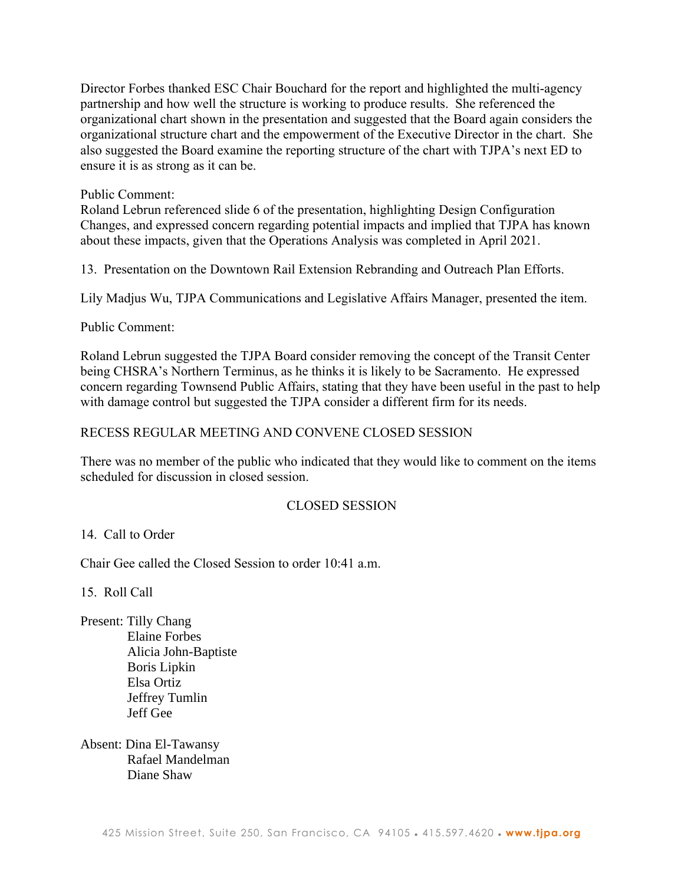Director Forbes thanked ESC Chair Bouchard for the report and highlighted the multi-agency partnership and how well the structure is working to produce results. She referenced the organizational chart shown in the presentation and suggested that the Board again considers the organizational structure chart and the empowerment of the Executive Director in the chart. She also suggested the Board examine the reporting structure of the chart with TJPA's next ED to ensure it is as strong as it can be.

# Public Comment:

Roland Lebrun referenced slide 6 of the presentation, highlighting Design Configuration Changes, and expressed concern regarding potential impacts and implied that TJPA has known about these impacts, given that the Operations Analysis was completed in April 2021.

13. Presentation on the Downtown Rail Extension Rebranding and Outreach Plan Efforts.

Lily Madjus Wu, TJPA Communications and Legislative Affairs Manager, presented the item.

# Public Comment:

Roland Lebrun suggested the TJPA Board consider removing the concept of the Transit Center being CHSRA's Northern Terminus, as he thinks it is likely to be Sacramento. He expressed concern regarding Townsend Public Affairs, stating that they have been useful in the past to help with damage control but suggested the TJPA consider a different firm for its needs.

# RECESS REGULAR MEETING AND CONVENE CLOSED SESSION

There was no member of the public who indicated that they would like to comment on the items scheduled for discussion in closed session.

# CLOSED SESSION

# 14. Call to Order

Chair Gee called the Closed Session to order 10:41 a.m.

15. Roll Call

Present: Tilly Chang Elaine Forbes Alicia John-Baptiste Boris Lipkin Elsa Ortiz Jeffrey Tumlin Jeff Gee

Absent: Dina El-Tawansy Rafael Mandelman Diane Shaw